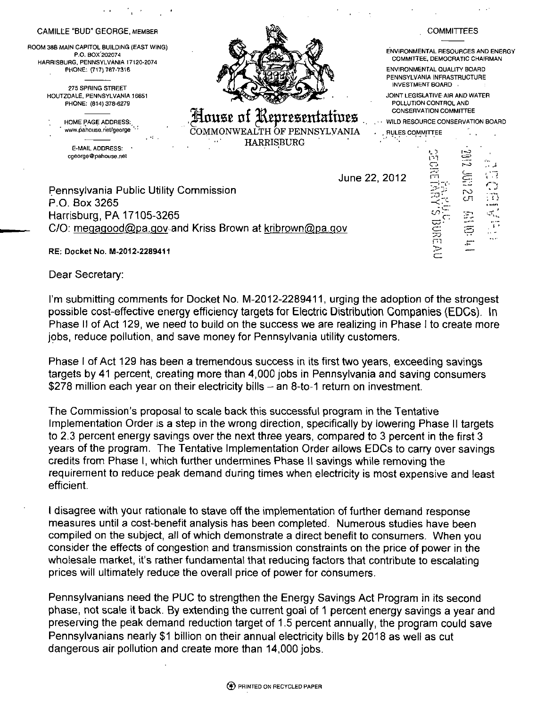| CAMILLE "BUD" GEORGE, MEMBER                                                                         |                                                                             | <b>COMMITTEES</b>                                                                         |
|------------------------------------------------------------------------------------------------------|-----------------------------------------------------------------------------|-------------------------------------------------------------------------------------------|
| ROOM 38B MAIN CAPITOL BUILDING (EAST WING)<br>P.O. BOX 202074<br>HARRISBURG, PENNSYLVANIA 17120-2074 |                                                                             | ENVIRONMENTAL RESOURCES AND ENERGY<br>COMMITTEE, DEMOCRATIC CHAIRMAN                      |
| PHONE: (717) 787-7316<br>275 SPRING STREET                                                           |                                                                             | ENVIRONMENTAL QUALITY BOARD<br>PENNSYLVANIA INFRASTRUCTURE<br>INVESTMENT BOARD .          |
| HOUTZDALE, PENNSYLVANIA 16651<br>PHONE: (814) 378-6279                                               |                                                                             | JOINT LEGISLATIVE AIR AND WATER<br>POLLUTION CONTROL AND<br><b>CONSERVATION COMMITTEE</b> |
| HOME PAGE ADDRESS.<br>www.pahouse.net/george<br>28 G                                                 | House of Representatives<br>COMMONWEALTH OF PENNSYLVANIA<br>RULES COMMITTEE | <b>WILD RESOURCE CONSERVATION BOARD</b>                                                   |
| E-MAIL ADDRESS:<br>cgeorge@pahouse.net                                                               | <b>HARRISBURG</b>                                                           | U(0)<br>137<br>لى ب                                                                       |
|                                                                                                      | June 22, 2012                                                               | Ē<br>¦.,                                                                                  |
| Pennsylvania Public Utility Commission<br>P.O. Box 3265                                              |                                                                             | $\subset$ .<br>$\sim$<br>CT<br>.<br><b>B-RABATA</b>                                       |
| Harrisburg, PA 17105-3265                                                                            |                                                                             |                                                                                           |
| C/O: megagood@pa.gov and Kriss Brown at kribrown@pa.gov                                              |                                                                             | <b>SOR</b>                                                                                |
| RE: Docket No. M-2012-2289411                                                                        |                                                                             | Þ                                                                                         |

**Dear Secretary:** 

**I'm submitting comments for Docket No. M-2012-2289411, urging the adoption of the strongest possible cost-effective energy efficiency targets for Electric Distribution Companies (EDCs). In Phase II of Act 129, we need to build on the success we are realizing in Phase I to create more jpbs, reduce pollution, and save money for Pennsylvania utility customers.** 

**Phase I of Act 129 has been a tremendous success in its first two years, exceeding savings targets by 41 percent, creating more than 4,000 jobs in Pennsylvania and saving consumers**  \$278 million each year on their electricity bills - an 8-to-1 return on investment.

**The Commission's proposal to scale back this successful program in the Tentative Implementation Order is a step in the wrong direction, specifically by lowering Phase II targets to 2.3 percent energy savings over the next three years, compared to 3 percent in the first 3 years of the program. The Tentative Implementation Order allows EDCs to carry over savings credits from Phase I, which further undermines Phase II savings while removing the requirement to reduce peak demand during times when electricity is most expensive and least efficient.** 

I disagree with your rationale to stave off the implementation of further demand response **measures until a cost-benefit analysis has been completed. Numerous studies have been compiled on the subject, all of which demonstrate a direct benefit to consumers. When you consider the effects of congestion and transmission constraints on the price of power in the wholesale market, it's rather fundamental that reducing factors that contribute to escalating prices will ultimately reduce the overall price of power for consumers.** 

**Pennsylvanians need the PUC to strengthen the Energy Savings Act Program in its second phase, not scale it back. By extending the current goal of 1 percent energy savings a year and preserving the peak demand reduction target of 1.5 percent annually, the program could save Pennsylvanians nearly \$1 billion on their annual electricity bills by 2018 as well as cut dangerous air pollution and create more than 14,000 jobs.**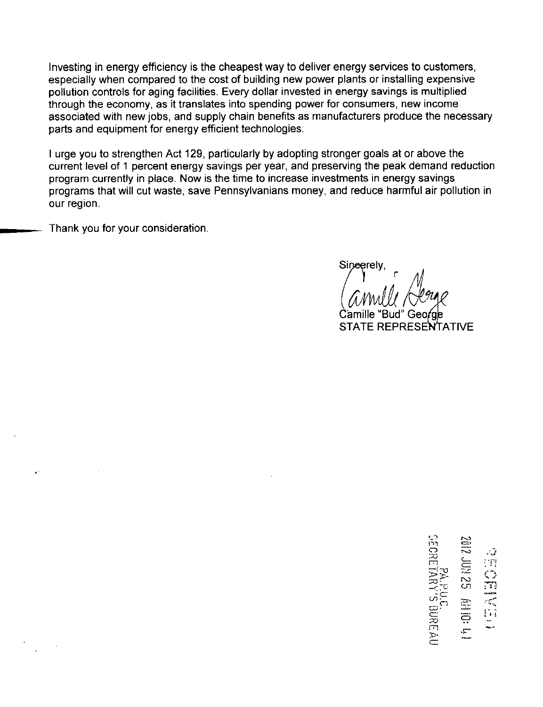Investing in energy efficiency is the cheapest way to deliver energy services to customers, especially when compared to the cost of building new power plants or installing expensive pollution controls for aging facilities. Every dollar invested in energy savings is multiplied through the economy, as it translates into spending power for consumers, new income associated with new jobs, and supply chain benefits as manufacturers produce the necessary parts and equipment for energy efficient technologies.

I urge you to strengthen Act 129, particularly by adopting stronger goals at or above the current level of 1 percent energy savings per year, and preserving the peak demand reduction program currently in place. Now is the time to increase investments in energy savings programs that will cut waste, save Pennsylvanians money, and reduce harmful air pollution in our region.

Thank you for your consideration.

Sineerely

Camille "Bud" Geo STATE REPRESENTATIVE

m 52<br>23 ia<br>E  $\widetilde{c}$ EAU